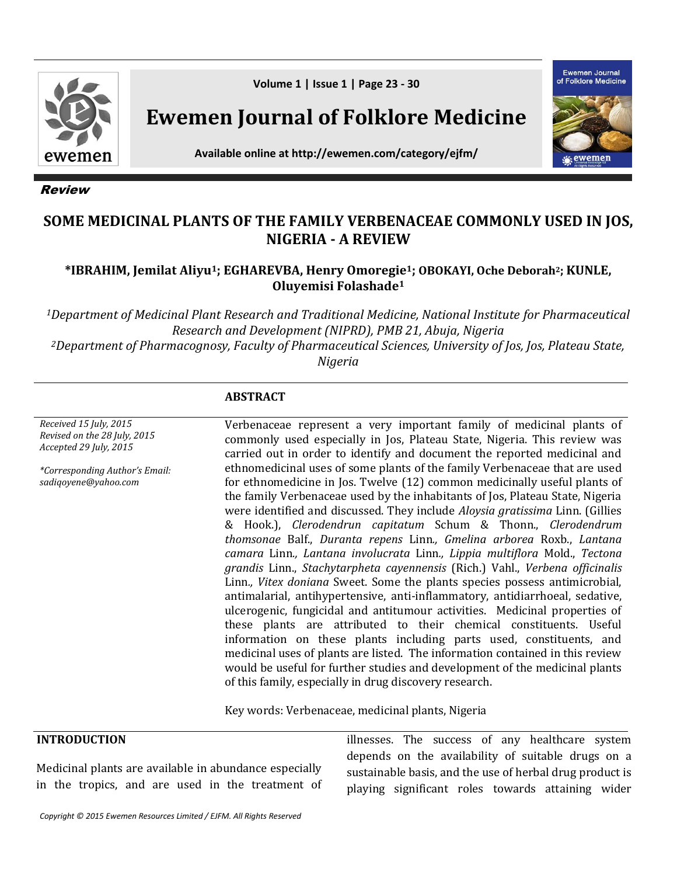

Review

**Volume 1 | Issue 1 | Page 23 - 30**

**Ewemen Journal of Folklore Medicine**

Ewemen Journal of Folklore Medicine vemer

**Available online at http://ewemen.com/category/ejfm/**

# **SOME MEDICINAL PLANTS OF THE FAMILY VERBENACEAE COMMONLY USED IN JOS, NIGERIA - A REVIEW**

### **\*IBRAHIM, Jemilat Aliyu1; EGHAREVBA, Henry Omoregie1; OBOKAYI, Oche Deborah2; KUNLE, Oluyemisi Folashade<sup>1</sup>**

*<sup>1</sup>Department of Medicinal Plant Research and Traditional Medicine, National Institute for Pharmaceutical Research and Development (NIPRD), PMB 21, Abuja, Nigeria <sup>2</sup>Department of Pharmacognosy, Faculty of Pharmaceutical Sciences, University of Jos, Jos, Plateau State,* 

*Nigeria*

### **ABSTRACT**

*Received 15 July, 2015 Revised on the 28 July, 2015 Accepted 29 July, 2015 \*Corresponding Author's Email: sadiqoyene@yahoo.com* Verbenaceae represent a very important family of medicinal plants of commonly used especially in Jos, Plateau State, Nigeria. This review was carried out in order to identify and document the reported medicinal and ethnomedicinal uses of some plants of the family Verbenaceae that are used for ethnomedicine in Jos. Twelve (12) common medicinally useful plants of the family Verbenaceae used by the inhabitants of Jos, Plateau State, Nigeria were identified and discussed. They include *Aloysia gratissima* Linn. (Gillies & Hook.), *Clerodendrun capitatum* Schum & Thonn., *Clerodendrum thomsonae* Balf., *Duranta repens* Linn*., Gmelina arborea* Roxb., *Lantana camara* Linn*., Lantana involucrata* Linn*., Lippia multiflora* Mold., *Tectona grandis* Linn., *Stachytarpheta cayennensis* (Rich.) Vahl., *Verbena officinalis*  Linn*., Vitex doniana* Sweet. Some the plants species possess antimicrobial, antimalarial, antihypertensive, anti-inflammatory, antidiarrhoeal, sedative, ulcerogenic, fungicidal and antitumour activities. Medicinal properties of these plants are attributed to their chemical constituents. Useful information on these plants including parts used, constituents, and medicinal uses of plants are listed. The information contained in this review would be useful for further studies and development of the medicinal plants of this family, especially in drug discovery research.

Key words: Verbenaceae, medicinal plants, Nigeria

| <b>INTRODUCTION</b>                                                                                        | illnesses. The success of any healthcare system                                                                                                                     |
|------------------------------------------------------------------------------------------------------------|---------------------------------------------------------------------------------------------------------------------------------------------------------------------|
| Medicinal plants are available in abundance especially<br>in the tropics, and are used in the treatment of | depends on the availability of suitable drugs on a<br>sustainable basis, and the use of herbal drug product is<br>playing significant roles towards attaining wider |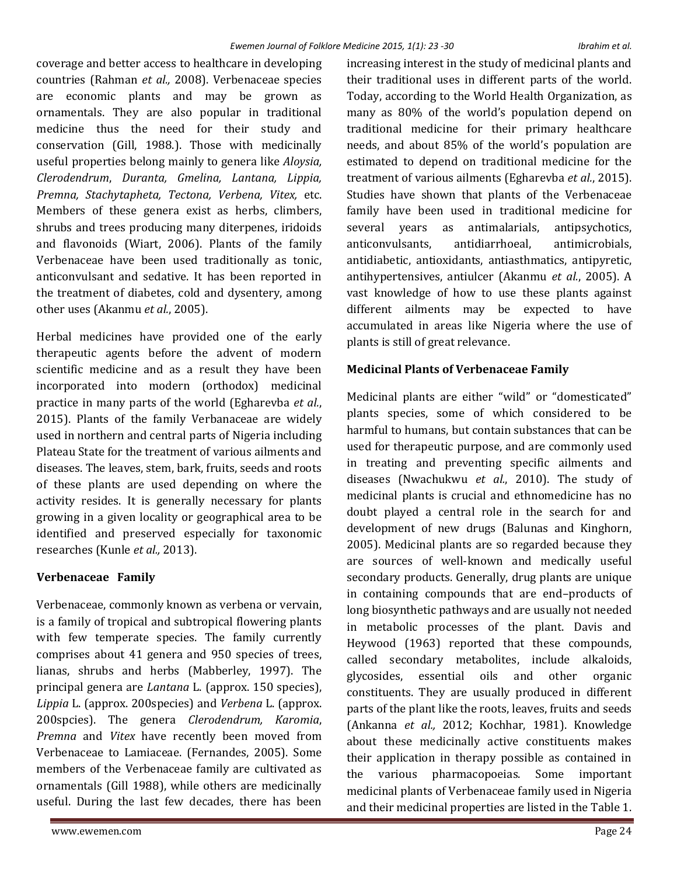coverage and better access to healthcare in developing countries (Rahman *et al.,* 2008). Verbenaceae species are economic plants and may be grown as ornamentals. They are also popular in traditional medicine thus the need for their study and conservation (Gill, 1988.). Those with medicinally useful properties belong mainly to genera like *Aloysia, Clerodendrum*, *Duranta, Gmelina, Lantana, Lippia, Premna, Stachytapheta, Tectona, Verbena, Vitex,* etc. Members of these genera exist as herbs, climbers, shrubs and trees producing many diterpenes, iridoids and flavonoids (Wiart, 2006). Plants of the family Verbenaceae have been used traditionally as tonic, anticonvulsant and sedative. It has been reported in the treatment of diabetes, cold and dysentery, among other uses (Akanmu *et al.*, 2005).

Herbal medicines have provided one of the early therapeutic agents before the advent of modern scientific medicine and as a result they have been incorporated into modern (orthodox) medicinal practice in many parts of the world (Egharevba *et al.*, 2015). Plants of the family Verbanaceae are widely used in northern and central parts of Nigeria including Plateau State for the treatment of various ailments and diseases. The leaves, stem, bark, fruits, seeds and roots of these plants are used depending on where the activity resides. It is generally necessary for plants growing in a given locality or geographical area to be identified and preserved especially for taxonomic researches (Kunle *et al.,* 2013).

## **Verbenaceae Family**

Verbenaceae, commonly known as verbena or vervain, is a family of tropical and subtropical flowering plants with few temperate species. The family currently comprises about 41 genera and 950 species of trees, lianas, shrubs and herbs (Mabberley, 1997). The principal genera are *Lantana* L. (approx. 150 species), *Lippia* L. (approx. 200species) and *Verbena* L. (approx. 200spcies). The genera *Clerodendrum, Karomia*, *Premna* and *Vitex* have recently been moved from Verbenaceae to Lamiaceae. (Fernandes, 2005). Some members of the Verbenaceae family are cultivated as ornamentals (Gill 1988), while others are medicinally useful. During the last few decades, there has been

increasing interest in the study of medicinal plants and their traditional uses in different parts of the world. Today, according to the World Health Organization, as many as 80% of the world's population depend on traditional medicine for their primary healthcare needs, and about 85% of the world's population are estimated to depend on traditional medicine for the treatment of various ailments (Egharevba *et al.*, 2015). Studies have shown that plants of the Verbenaceae family have been used in traditional medicine for several years as antimalarials, antipsychotics, anticonvulsants, antidiarrhoeal, antimicrobials, antidiabetic, antioxidants, antiasthmatics, antipyretic, antihypertensives, antiulcer (Akanmu *et al.*, 2005). A vast knowledge of how to use these plants against different ailments may be expected to have accumulated in areas like Nigeria where the use of plants is still of great relevance.

### **Medicinal Plants of Verbenaceae Family**

Medicinal plants are either "wild" or "domesticated" plants species, some of which considered to be harmful to humans, but contain substances that can be used for therapeutic purpose, and are commonly used in treating and preventing specific ailments and diseases (Nwachukwu *et al.*, 2010). The study of medicinal plants is crucial and ethnomedicine has no doubt played a central role in the search for and development of new drugs (Balunas and Kinghorn, 2005). Medicinal plants are so regarded because they are sources of well-known and medically useful secondary products. Generally, drug plants are unique in containing compounds that are end–products of long biosynthetic pathways and are usually not needed in metabolic processes of the plant. Davis and Heywood (1963) reported that these compounds, called secondary metabolites, include alkaloids, glycosides, essential oils and other organic constituents. They are usually produced in different parts of the plant like the roots, leaves, fruits and seeds (Ankanna *et al.,* 2012; Kochhar, 1981). Knowledge about these medicinally active constituents makes their application in therapy possible as contained in the various pharmacopoeias. Some important medicinal plants of Verbenaceae family used in Nigeria and their medicinal properties are listed in the Table 1.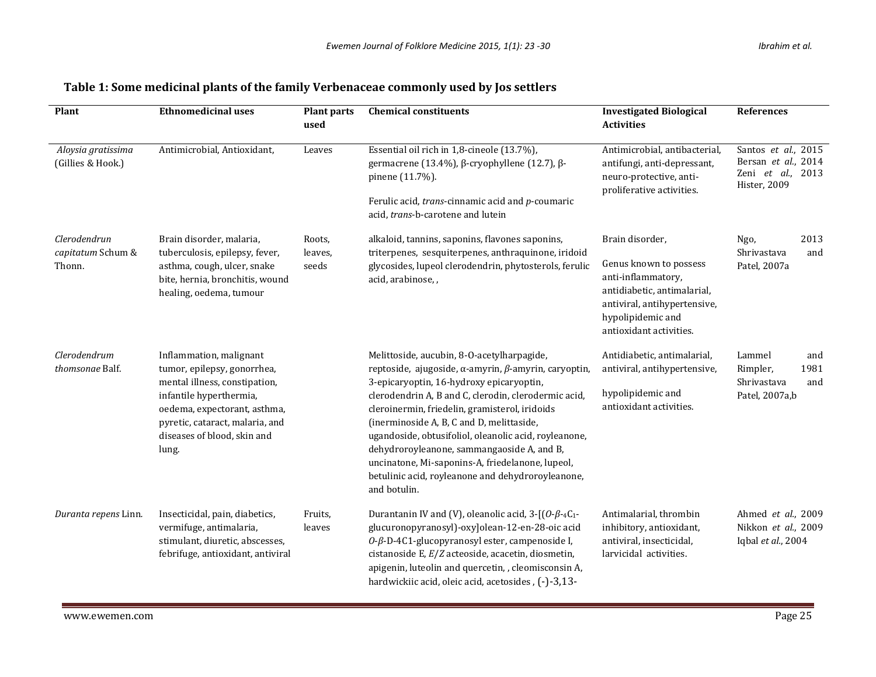| Plant                                       | <b>Ethnomedicinal uses</b>                                                                                                                                                                                                    | <b>Plant parts</b><br>used | <b>Chemical constituents</b>                                                                                                                                                                                                                                                                                                                                                                                                                                                                                                                         | <b>Investigated Biological</b><br><b>Activities</b>                                                                                                                            | <b>References</b>                                                               |
|---------------------------------------------|-------------------------------------------------------------------------------------------------------------------------------------------------------------------------------------------------------------------------------|----------------------------|------------------------------------------------------------------------------------------------------------------------------------------------------------------------------------------------------------------------------------------------------------------------------------------------------------------------------------------------------------------------------------------------------------------------------------------------------------------------------------------------------------------------------------------------------|--------------------------------------------------------------------------------------------------------------------------------------------------------------------------------|---------------------------------------------------------------------------------|
| Aloysia gratissima<br>(Gillies & Hook.)     | Antimicrobial, Antioxidant,                                                                                                                                                                                                   | Leaves                     | Essential oil rich in 1,8-cineole (13.7%),<br>germacrene (13.4%), β-cryophyllene (12.7), β-<br>pinene (11.7%).<br>Ferulic acid, trans-cinnamic acid and p-coumaric<br>acid, trans-b-carotene and lutein                                                                                                                                                                                                                                                                                                                                              | Antimicrobial, antibacterial,<br>antifungi, anti-depressant,<br>neuro-protective, anti-<br>proliferative activities.                                                           | Santos et al., 2015<br>Bersan et al., 2014<br>Zeni et al., 2013<br>Hister, 2009 |
| Clerodendrun<br>capitatum Schum &<br>Thonn. | Brain disorder, malaria,<br>tuberculosis, epilepsy, fever,<br>asthma, cough, ulcer, snake<br>bite, hernia, bronchitis, wound<br>healing, oedema, tumour                                                                       | Roots,<br>leaves,<br>seeds | alkaloid, tannins, saponins, flavones saponins,<br>triterpenes, sesquiterpenes, anthraquinone, iridoid<br>glycosides, lupeol clerodendrin, phytosterols, ferulic<br>acid, arabinose, ,                                                                                                                                                                                                                                                                                                                                                               | Brain disorder,<br>Genus known to possess<br>anti-inflammatory,<br>antidiabetic, antimalarial,<br>antiviral, antihypertensive,<br>hypolipidemic and<br>antioxidant activities. | 2013<br>Ngo,<br>Shrivastava<br>and<br>Patel, 2007a                              |
| Clerodendrum<br>thomsonae Balf.             | Inflammation, malignant<br>tumor, epilepsy, gonorrhea,<br>mental illness, constipation,<br>infantile hyperthermia,<br>oedema, expectorant, asthma,<br>pyretic, cataract, malaria, and<br>diseases of blood, skin and<br>lung. |                            | Melittoside, aucubin, 8-O-acetylharpagide,<br>reptoside, ajugoside, $\alpha$ -amyrin, $\beta$ -amyrin, caryoptin,<br>3-epicaryoptin, 16-hydroxy epicaryoptin,<br>clerodendrin A, B and C, clerodin, clerodermic acid,<br>cleroinermin, friedelin, gramisterol, iridoids<br>(inerminoside A, B, C and D, melittaside,<br>ugandoside, obtusifoliol, oleanolic acid, royleanone,<br>dehydroroyleanone, sammangaoside A, and B,<br>uncinatone, Mi-saponins-A, friedelanone, lupeol,<br>betulinic acid, royleanone and dehydroroyleanone,<br>and botulin. | Antidiabetic, antimalarial,<br>antiviral, antihypertensive,<br>hypolipidemic and<br>antioxidant activities.                                                                    | Lammel<br>and<br>Rimpler,<br>1981<br>Shrivastava<br>and<br>Patel, 2007a,b       |
| Duranta repens Linn.                        | Insecticidal, pain, diabetics,<br>vermifuge, antimalaria,<br>stimulant, diuretic, abscesses,<br>febrifuge, antioxidant, antiviral                                                                                             | Fruits,<br>leaves          | Durantanin IV and (V), oleanolic acid, $3 - [(0-\beta-4C_1-\alpha)$<br>glucuronopyranosyl)-oxylolean-12-en-28-oic acid<br>0-β-D-4C1-glucopyranosyl ester, campenoside I,<br>cistanoside E, E/Z acteoside, acacetin, diosmetin,<br>apigenin, luteolin and quercetin, , cleomisconsin A,<br>hardwickiic acid, oleic acid, acetosides, (-)-3,13-                                                                                                                                                                                                        | Antimalarial, thrombin<br>inhibitory, antioxidant,<br>antiviral, insecticidal,<br>larvicidal activities.                                                                       | Ahmed et al., 2009<br>Nikkon et al., 2009<br>Iqbal et al., 2004                 |

## **Table 1: Some medicinal plants of the family Verbenaceae commonly used by Jos settlers**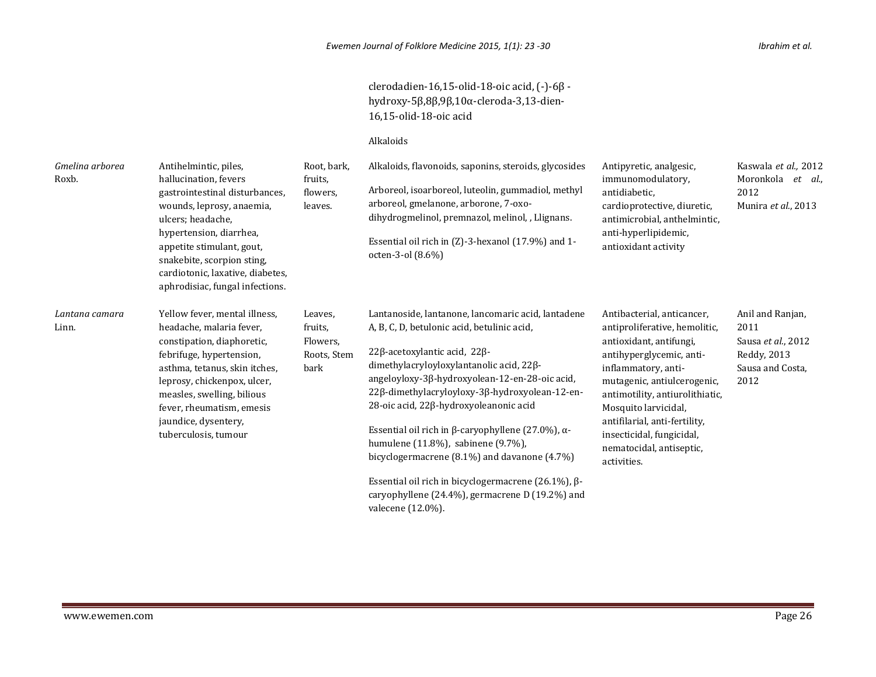clerodadien-16,15-olid-18-oic acid, (-)-6β hydroxy-5β,8β,9β,10α-cleroda-3,13-dien-16,15-olid-18-oic acid

#### Alkaloids

| Gmelina arborea<br>Roxb. | Antihelmintic, piles,<br>hallucination, fevers<br>gastrointestinal disturbances,<br>wounds, leprosy, anaemia,<br>ulcers; headache,<br>hypertension, diarrhea,<br>appetite stimulant, gout,<br>snakebite, scorpion sting,<br>cardiotonic, laxative, diabetes,<br>aphrodisiac, fungal infections. | Root, bark,<br>fruits,<br>flowers,<br>leaves.         | Alkaloids, flavonoids, saponins, steroids, glycosides<br>Arboreol, isoarboreol, luteolin, gummadiol, methyl<br>arboreol, gmelanone, arborone, 7-oxo-<br>dihydrogmelinol, premnazol, melinol, , Llignans.<br>Essential oil rich in (Z)-3-hexanol (17.9%) and 1-<br>octen-3-ol (8.6%)                                                                                                                                                                                                                                                                                                                                               | Antipyretic, analgesic,<br>immunomodulatory.<br>antidiabetic.<br>cardioprotective, diuretic,<br>antimicrobial, anthelmintic,<br>anti-hyperlipidemic,<br>antioxidant activity                                                                                                                                                                 | Kaswala et al., 2012<br>Moronkola et al.,<br>2012<br>Munira et al., 2013                  |
|--------------------------|-------------------------------------------------------------------------------------------------------------------------------------------------------------------------------------------------------------------------------------------------------------------------------------------------|-------------------------------------------------------|-----------------------------------------------------------------------------------------------------------------------------------------------------------------------------------------------------------------------------------------------------------------------------------------------------------------------------------------------------------------------------------------------------------------------------------------------------------------------------------------------------------------------------------------------------------------------------------------------------------------------------------|----------------------------------------------------------------------------------------------------------------------------------------------------------------------------------------------------------------------------------------------------------------------------------------------------------------------------------------------|-------------------------------------------------------------------------------------------|
| Lantana camara<br>Linn.  | Yellow fever, mental illness,<br>headache, malaria fever,<br>constipation, diaphoretic,<br>febrifuge, hypertension,<br>asthma, tetanus, skin itches,<br>leprosy, chickenpox, ulcer,<br>measles, swelling, bilious<br>fever, rheumatism, emesis<br>jaundice, dysentery,<br>tuberculosis, tumour  | Leaves,<br>fruits,<br>Flowers.<br>Roots, Stem<br>bark | Lantanoside, lantanone, lancomaric acid, lantadene<br>A, B, C, D, betulonic acid, betulinic acid,<br>$22\beta$ -acetoxylantic acid, $22\beta$ -<br>dimethylacryloyloxylantanolic acid, $22\beta$ -<br>angeloyloxy-3β-hydroxyolean-12-en-28-oic acid,<br>22β-dimethylacryloyloxy-3β-hydroxyolean-12-en-<br>28-oic acid, 22β-hydroxyoleanonic acid<br>Essential oil rich in $\beta$ -caryophyllene (27.0%), $\alpha$ -<br>humulene (11.8%), sabinene (9.7%),<br>bicyclogermacrene $(8.1\%)$ and davanone $(4.7\%)$<br>Essential oil rich in bicyclogermacrene (26.1%), $\beta$ -<br>caryophyllene (24.4%), germacrene D (19.2%) and | Antibacterial, anticancer,<br>antiproliferative, hemolitic,<br>antioxidant, antifungi,<br>antihyperglycemic, anti-<br>inflammatory, anti-<br>mutagenic, antiulcerogenic,<br>antimotility, antiurolithiatic,<br>Mosquito larvicidal,<br>antifilarial, anti-fertility,<br>insecticidal, fungicidal,<br>nematocidal, antiseptic,<br>activities. | Anil and Ranjan,<br>2011<br>Sausa et al., 2012<br>Reddy, 2013<br>Sausa and Costa,<br>2012 |

valecene (12.0%).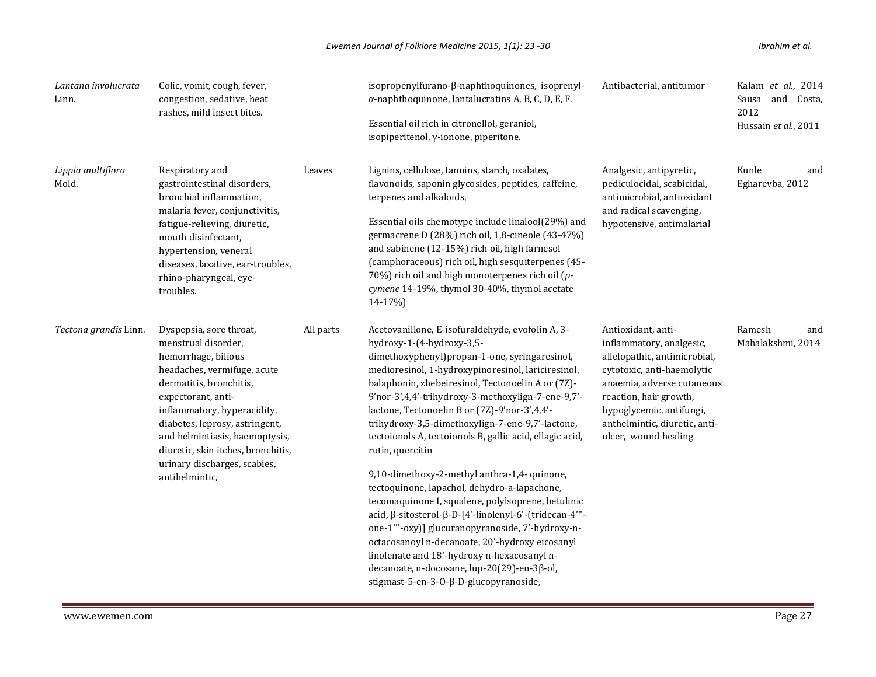| Lantana involucrata<br>Linn. | Colic, vomit, cough, fever,<br>congestion, sedative, heat<br>rashes, mild insect bites.                                                                                                                                                                                                                                                          |           | isopropenylfurano-β-naphthoquinones, isoprenyl-<br>$\alpha$ -naphthoquinone, lantalucratins A, B, C, D, E, F.<br>Essential oil rich in citronellol, geraniol,<br>isopiperitenol, γ-ionone, piperitone.                                                                                                                                                                                                                                                                                                                                                                                                                                                                                                                                                                                                                                                                                                                                              | Antibacterial, antitumor                                                                                                                                                                                                                                  | Kalam et al., 2014<br>Sausa and Costa,<br>2012<br>Hussain et al., 2011 |
|------------------------------|--------------------------------------------------------------------------------------------------------------------------------------------------------------------------------------------------------------------------------------------------------------------------------------------------------------------------------------------------|-----------|-----------------------------------------------------------------------------------------------------------------------------------------------------------------------------------------------------------------------------------------------------------------------------------------------------------------------------------------------------------------------------------------------------------------------------------------------------------------------------------------------------------------------------------------------------------------------------------------------------------------------------------------------------------------------------------------------------------------------------------------------------------------------------------------------------------------------------------------------------------------------------------------------------------------------------------------------------|-----------------------------------------------------------------------------------------------------------------------------------------------------------------------------------------------------------------------------------------------------------|------------------------------------------------------------------------|
| Lippia multiflora<br>Mold.   | Respiratory and<br>gastrointestinal disorders,<br>bronchial inflammation,<br>malaria fever, conjunctivitis,<br>fatigue-relieving, diuretic,<br>mouth disinfectant.<br>hypertension, veneral<br>diseases, laxative, ear-troubles,<br>rhino-pharyngeal, eye-<br>troubles.                                                                          | Leaves    | Lignins, cellulose, tannins, starch, oxalates,<br>flavonoids, saponin glycosides, peptides, caffeine,<br>terpenes and alkaloids,<br>Essential oils chemotype include linalool(29%) and<br>germacrene D (28%) rich oil, 1,8-cineole (43-47%)<br>and sabinene (12-15%) rich oil, high farnesol<br>(camphoraceous) rich oil, high sesquiterpenes (45-<br>70%) rich oil and high monoterpenes rich oil ( $\rho$ -<br>cymene 14-19%, thymol 30-40%, thymol acetate<br>14-17%)                                                                                                                                                                                                                                                                                                                                                                                                                                                                            | Analgesic, antipyretic,<br>pediculocidal, scabicidal,<br>antimicrobial, antioxidant<br>and radical scavenging,<br>hypotensive, antimalarial                                                                                                               | Kunle<br>and<br>Egharevba, 2012                                        |
| Tectona grandis Linn.        | Dyspepsia, sore throat,<br>menstrual disorder,<br>hemorrhage, bilious<br>headaches, vermifuge, acute<br>dermatitis, bronchitis,<br>expectorant, anti-<br>inflammatory, hyperacidity,<br>diabetes, leprosy, astringent,<br>and helmintiasis, haemoptysis,<br>diuretic, skin itches, bronchitis,<br>urinary discharges, scabies,<br>antihelmintic, | All parts | Acetovanillone, E-isofuraldehyde, evofolin A, 3-<br>hydroxy-1-(4-hydroxy-3,5-<br>dimethoxyphenyl)propan-1-one, syringaresinol,<br>medioresinol, 1-hydroxypinoresinol, lariciresinol,<br>balaphonin, zhebeiresinol, Tectonoelin A or (7Z)-<br>9'nor-3',4,4'-trihydroxy-3-methoxylign-7-ene-9,7'-<br>lactone, Tectonoelin B or (7Z)-9'nor-3',4,4'-<br>trihydroxy-3,5-dimethoxylign-7-ene-9,7'-lactone,<br>tectoionols A, tectoionols B, gallic acid, ellagic acid,<br>rutin, quercitin<br>9,10-dimethoxy-2-methyl anthra-1,4- quinone,<br>tectoquinone, lapachol, dehydro-a-lapachone,<br>tecomaquinone I, squalene, polylsoprene, betulinic<br>acid, β-sitosterol-β-D-[4'-linolenyl-6'-(tridecan-4"'-<br>one-1"'-oxy)] glucuranopyranoside, 7'-hydroxy-n-<br>octacosanoyl n-decanoate, 20'-hydroxy eicosanyl<br>linolenate and 18'-hydroxy n-hexacosanyl n-<br>decanoate, n-docosane, lup-20(29)-en-3β-ol,<br>stigmast-5-en-3-0-β-D-glucopyranoside, | Antioxidant, anti-<br>inflammatory, analgesic,<br>allelopathic, antimicrobial,<br>cytotoxic, anti-haemolytic<br>anaemia, adverse cutaneous<br>reaction, hair growth,<br>hypoglycemic, antifungi,<br>anthelmintic, diuretic, anti-<br>ulcer, wound healing | Ramesh<br>and<br>Mahalakshmi, 2014                                     |

m.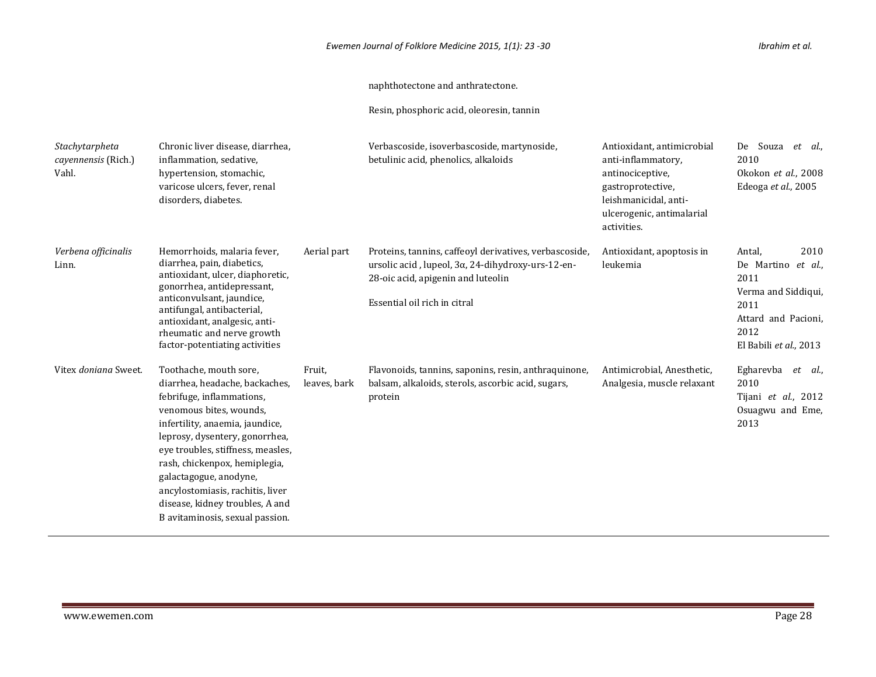#### naphthotectone and anthratectone.

Resin, phosphoric acid, oleoresin, tannin

| Stachytarpheta<br>cayennensis (Rich.)<br>Vahl. | Chronic liver disease, diarrhea,<br>inflammation, sedative,<br>hypertension, stomachic,<br>varicose ulcers, fever, renal<br>disorders, diabetes.                                                                                                                                                                                                                                                |                        | Verbascoside, isoverbascoside, martynoside,<br>betulinic acid, phenolics, alkaloids                                                                                               | Antioxidant, antimicrobial<br>anti-inflammatory,<br>antinociceptive,<br>gastroprotective,<br>leishmanicidal, anti-<br>ulcerogenic, antimalarial<br>activities. | De Souza<br>et al.,<br>2010<br>Okokon et al., 2008<br>Edeoga et al., 2005                                                               |
|------------------------------------------------|-------------------------------------------------------------------------------------------------------------------------------------------------------------------------------------------------------------------------------------------------------------------------------------------------------------------------------------------------------------------------------------------------|------------------------|-----------------------------------------------------------------------------------------------------------------------------------------------------------------------------------|----------------------------------------------------------------------------------------------------------------------------------------------------------------|-----------------------------------------------------------------------------------------------------------------------------------------|
| Verbena officinalis<br>Linn.                   | Hemorrhoids, malaria fever,<br>diarrhea, pain, diabetics,<br>antioxidant, ulcer, diaphoretic,<br>gonorrhea, antidepressant,<br>anticonvulsant, jaundice,<br>antifungal, antibacterial,<br>antioxidant, analgesic, anti-<br>rheumatic and nerve growth<br>factor-potentiating activities                                                                                                         | Aerial part            | Proteins, tannins, caffeoyl derivatives, verbascoside,<br>ursolic acid, lupeol, 3α, 24-dihydroxy-urs-12-en-<br>28-oic acid, apigenin and luteolin<br>Essential oil rich in citral | Antioxidant, apoptosis in<br>leukemia                                                                                                                          | 2010<br>Antal,<br>De Martino<br>et al.,<br>2011<br>Verma and Siddiqui,<br>2011<br>Attard and Pacioni,<br>2012<br>El Babili et al., 2013 |
| Vitex doniana Sweet.                           | Toothache, mouth sore,<br>diarrhea, headache, backaches,<br>febrifuge, inflammations,<br>venomous bites, wounds,<br>infertility, anaemia, jaundice,<br>leprosy, dysentery, gonorrhea,<br>eye troubles, stiffness, measles,<br>rash, chickenpox, hemiplegia,<br>galactagogue, anodyne,<br>ancylostomiasis, rachitis, liver<br>disease, kidney troubles, A and<br>B avitaminosis, sexual passion. | Fruit,<br>leaves, bark | Flavonoids, tannins, saponins, resin, anthraquinone,<br>balsam, alkaloids, sterols, ascorbic acid, sugars,<br>protein                                                             | Antimicrobial, Anesthetic,<br>Analgesia, muscle relaxant                                                                                                       | Egharevba<br>et al.,<br>2010<br>Tijani et al., 2012<br>Osuagwu and Eme,<br>2013                                                         |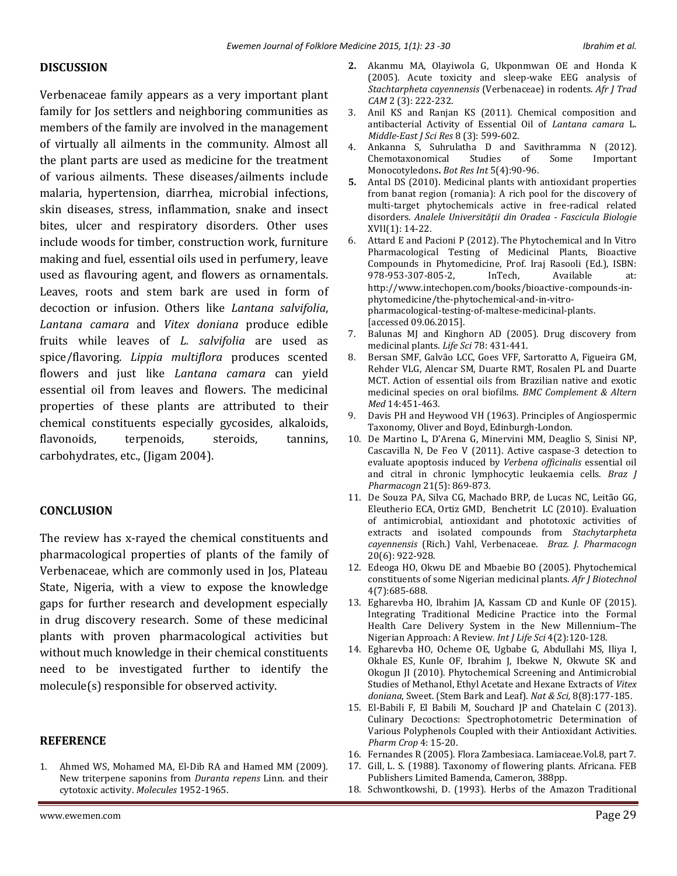#### **DISCUSSION**

Verbenaceae family appears as a very important plant family for Jos settlers and neighboring communities as members of the family are involved in the management of virtually all ailments in the community. Almost all the plant parts are used as medicine for the treatment of various ailments. These diseases/ailments include malaria, hypertension, diarrhea, microbial infections, skin diseases, stress, inflammation, snake and insect bites, ulcer and respiratory disorders. Other uses include woods for timber, construction work, furniture making and fuel, essential oils used in perfumery, leave used as flavouring agent, and flowers as ornamentals. Leaves, roots and stem bark are used in form of decoction or infusion. Others like *Lantana salvifolia*, *Lantana camara* and *Vitex doniana* produce edible fruits while leaves of *L. salvifolia* are used as spice/flavoring. *Lippia multiflora* produces scented flowers and just like *Lantana camara* can yield essential oil from leaves and flowers. The medicinal properties of these plants are attributed to their chemical constituents especially gycosides, alkaloids, flavonoids, terpenoids, steroids, tannins, carbohydrates, etc., (Jigam 2004).

### **CONCLUSION**

The review has x-rayed the chemical constituents and pharmacological properties of plants of the family of Verbenaceae, which are commonly used in Jos, Plateau State, Nigeria, with a view to expose the knowledge gaps for further research and development especially in drug discovery research. Some of these medicinal plants with proven pharmacological activities but without much knowledge in their chemical constituents need to be investigated further to identify the molecule(s) responsible for observed activity.

#### **REFERENCE**

1. Ahmed WS, Mohamed MA, El-Dib RA and Hamed MM (2009). New triterpene saponins from *Duranta repens* Linn. and their cytotoxic activity. *Molecules* 1952-1965.

- **2.** Akanmu MA, Olayiwola G, Ukponmwan OE and Honda K (2005). Acute toxicity and sleep-wake EEG analysis of *Stachtarpheta cayennensis* (Verbenaceae) in rodents. *Afr J Trad CAM* 2 (3): 222-232.
- 3. Anil KS and Ranjan KS (2011). Chemical composition and antibacterial Activity of Essential Oil of *Lantana camara* L. *Middle-East J Sci Res* 8 (3): 599-602.
- 4. Ankanna S, Suhrulatha D and Savithramma N (2012)*.*  Chemotaxonomical Studies of Some Important Monocotyledons**.** *Bot Res Int* 5(4):90-96.
- **5.** Antal DS (2010). Medicinal plants with antioxidant properties from banat region (romania): A rich pool for the discovery of multi-target phytochemicals active in free-radical related disorders. *Analele Universităţii din Oradea - Fascicula Biologie* XVII(1): 14-22.
- 6. Attard E and Pacioni P (2012). The Phytochemical and In Vitro Pharmacological Testing of Medicinal Plants, Bioactive Compounds in Phytomedicine, Prof. Iraj Rasooli (Ed.), ISBN: 978-953-307-805-2, InTech, Available at: http://www.intechopen.com/books/bioactive-compounds-inphytomedicine/the-phytochemical-and-in-vitropharmacological-testing-of-maltese-medicinal-plants. [accessed 09.06.2015].
- 7. Balunas MJ and Kinghorn AD (2005). Drug discovery from medicinal plants. *Life Sci* 78: 431-441.
- 8. Bersan SMF, Galvão LCC, Goes VFF, Sartoratto A, Figueira GM, Rehder VLG, Alencar SM, Duarte RMT, Rosalen PL and Duarte MCT. Action of essential oils from Brazilian native and exotic medicinal species on oral biofilms. *BMC Complement & Altern Med* 14:451-463.
- 9. Davis PH and Heywood VH (1963). Principles of Angiospermic Taxonomy, Oliver and Boyd, Edinburgh-London.
- 10. De Martino L, D'Arena G, Minervini MM, Deaglio S, Sinisi NP, Cascavilla N, De Feo V (2011). Active caspase-3 detection to evaluate apoptosis induced by *Verbena officinalis* essential oil and citral in chronic lymphocytic leukaemia cells. *Braz J Pharmacogn* 21(5): 869-873.
- 11. De Souza PA, Silva CG, Machado BRP, de Lucas NC, Leitão GG, Eleutherio ECA, Ortiz GMD, Benchetrit LC (2010). Evaluation of antimicrobial, antioxidant and phototoxic activities of extracts and isolated compounds from *Stachytarpheta cayennensis* (Rich.) Vahl, Verbenaceae. *Braz. J. Pharmacogn* 20(6): 922-928.
- 12. Edeoga HO, Okwu DE and Mbaebie BO (2005). Phytochemical constituents of some Nigerian medicinal plants. *Afr J Biotechnol* 4(7):685-688.
- 13. Egharevba HO, Ibrahim JA, Kassam CD and Kunle OF (2015). Integrating Traditional Medicine Practice into the Formal Health Care Delivery System in the New Millennium–The Nigerian Approach: A Review*. Int J Life Sci* 4(2):120-128.
- 14. Egharevba HO, Ocheme OE, Ugbabe G, Abdullahi MS, Iliya I, Okhale ES, Kunle OF, Ibrahim J, Ibekwe N, Okwute SK and Okogun JI (2010). Phytochemical Screening and Antimicrobial Studies of Methanol, Ethyl Acetate and Hexane Extracts of *Vitex doniana*, Sweet. (Stem Bark and Leaf). *Nat & Sci,* 8(8):177-185.
- 15. El-Babili F, El Babili M, Souchard JP and Chatelain C (2013). Culinary Decoctions: Spectrophotometric Determination of Various Polyphenols Coupled with their Antioxidant Activities. *Pharm Crop* 4: 15-20.
- 16. Fernandes R (2005). Flora Zambesiaca. Lamiaceae.Vol.8, part 7.
- 17. Gill, L. S. (1988). Taxonomy of flowering plants. Africana. FEB Publishers Limited Bamenda, Cameron, 388pp.
- 18. Schwontkowshi, D. (1993). Herbs of the Amazon Traditional